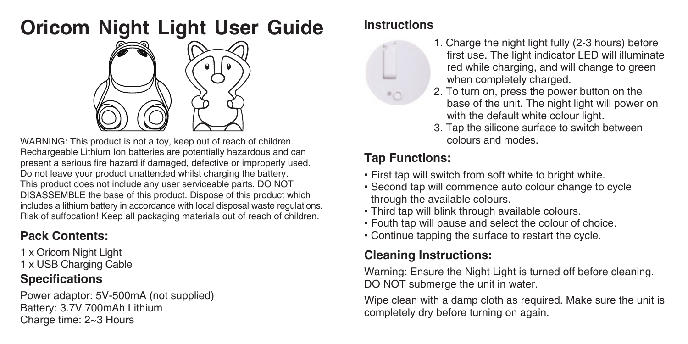# **Oricom Night Light User Guide**



WARNING: This product is not a toy, keep out of reach of children. Rechargeable Lithium Ion batteries are potentially hazardous and can present a serious fire hazard if damaged, defective or improperly used. Do not leave your product unattended whilst charging the battery. This product does not include any user serviceable parts. DO NOT DISASSEMBLE the base of this product. Dispose of this product which includes a lithium battery in accordance with local disposal waste regulations. Risk of suffocation! Keep all packaging materials out of reach of children.

# **Pack Contents:**

1 x Oricom Night Light 1 x USB Charging Cable

### **Specifications**

Power adaptor: 5V-500mA (not supplied) Battery: 3.7V 700 mAh Lithium Charge time: 2~3 Hours

### **Instructions**

- 1. Charge the night light fully (2-3 hours) before first use. The light indicator LED will illuminate red while charging, and will change to green when completely charged.
- 2. To turn on, press the power button on the base of the unit. The night light will power on with the default white colour light.
- 3. Tap the silicone surface to switch between colours and modes

### **Tap Functions:**

- . First tap will switch from soft white to bright white.
- Second tap will commence auto colour change to cycle through the available colours.
- Third tap will blink through available colours.
- Fouth tap will pause and select the colour of choice.
- Continue tapping the surface to restart the cycle.

## **Cleaning Instructions:**

Warning: Ensure the Night Light is turned off before cleaning. DO NOT submerge the unit in water.

Wipe clean with a damp cloth as required. Make sure the unit is completely dry before turning on again.